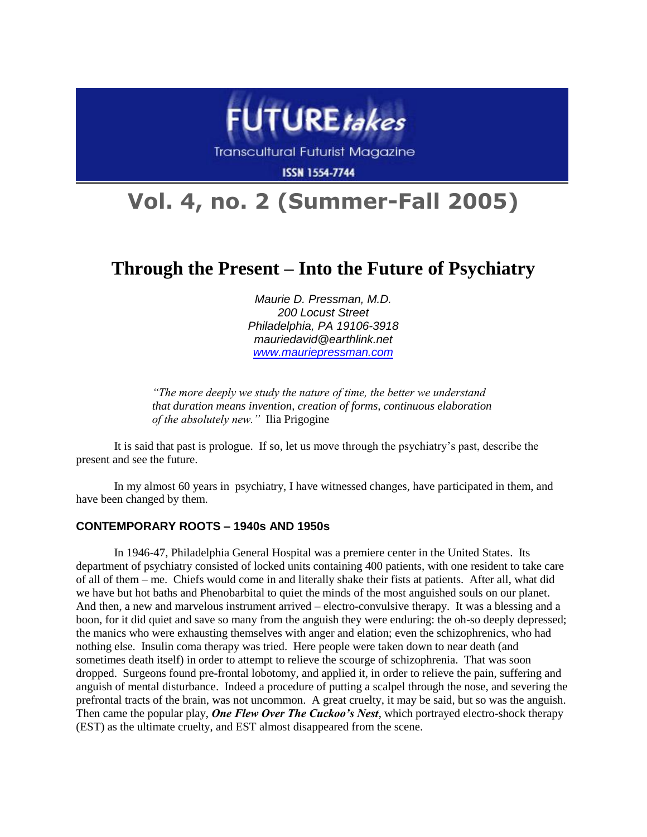

**Transcultural Futurist Magazine** 

**ISSN 1554-7744** 

# **Vol. 4, no. 2 (Summer-Fall 2005)**

# **Through the Present – Into the Future of Psychiatry**

*Maurie D. Pressman, M.D. 200 Locust Street Philadelphia, PA 19106-3918 mauriedavid@earthlink.net [www.mauriepressman.com](http://www.mauriepressman.com/)*

*"The more deeply we study the nature of time, the better we understand that duration means invention, creation of forms, continuous elaboration of the absolutely new."* Ilia Prigogine

It is said that past is prologue. If so, let us move through the psychiatry's past, describe the present and see the future.

In my almost 60 years in psychiatry, I have witnessed changes, have participated in them, and have been changed by them.

#### **CONTEMPORARY ROOTS – 1940s AND 1950s**

In 1946-47, Philadelphia General Hospital was a premiere center in the United States. Its department of psychiatry consisted of locked units containing 400 patients, with one resident to take care of all of them – me. Chiefs would come in and literally shake their fists at patients. After all, what did we have but hot baths and Phenobarbital to quiet the minds of the most anguished souls on our planet. And then, a new and marvelous instrument arrived – electro-convulsive therapy. It was a blessing and a boon, for it did quiet and save so many from the anguish they were enduring: the oh-so deeply depressed; the manics who were exhausting themselves with anger and elation; even the schizophrenics, who had nothing else. Insulin coma therapy was tried. Here people were taken down to near death (and sometimes death itself) in order to attempt to relieve the scourge of schizophrenia. That was soon dropped. Surgeons found pre-frontal lobotomy, and applied it, in order to relieve the pain, suffering and anguish of mental disturbance. Indeed a procedure of putting a scalpel through the nose, and severing the prefrontal tracts of the brain, was not uncommon. A great cruelty, it may be said, but so was the anguish. Then came the popular play, *One Flew Over The Cuckoo's Nest*, which portrayed electro-shock therapy (EST) as the ultimate cruelty, and EST almost disappeared from the scene.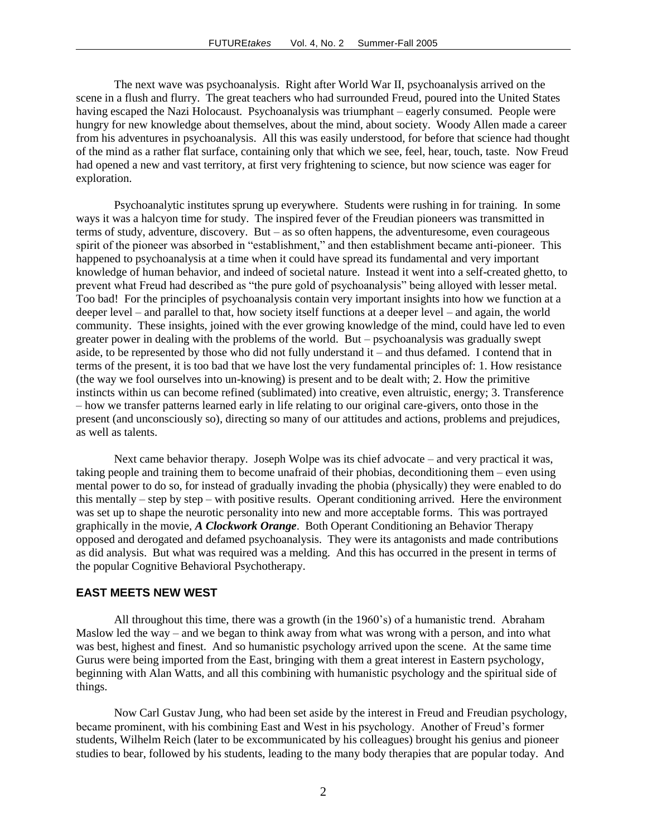The next wave was psychoanalysis. Right after World War II, psychoanalysis arrived on the scene in a flush and flurry. The great teachers who had surrounded Freud, poured into the United States having escaped the Nazi Holocaust. Psychoanalysis was triumphant – eagerly consumed. People were hungry for new knowledge about themselves, about the mind, about society. Woody Allen made a career from his adventures in psychoanalysis. All this was easily understood, for before that science had thought of the mind as a rather flat surface, containing only that which we see, feel, hear, touch, taste. Now Freud had opened a new and vast territory, at first very frightening to science, but now science was eager for exploration.

Psychoanalytic institutes sprung up everywhere. Students were rushing in for training. In some ways it was a halcyon time for study. The inspired fever of the Freudian pioneers was transmitted in terms of study, adventure, discovery. But – as so often happens, the adventuresome, even courageous spirit of the pioneer was absorbed in "establishment," and then establishment became anti-pioneer. This happened to psychoanalysis at a time when it could have spread its fundamental and very important knowledge of human behavior, and indeed of societal nature. Instead it went into a self-created ghetto, to prevent what Freud had described as "the pure gold of psychoanalysis" being alloyed with lesser metal. Too bad! For the principles of psychoanalysis contain very important insights into how we function at a deeper level – and parallel to that, how society itself functions at a deeper level – and again, the world community. These insights, joined with the ever growing knowledge of the mind, could have led to even greater power in dealing with the problems of the world. But – psychoanalysis was gradually swept aside, to be represented by those who did not fully understand it – and thus defamed. I contend that in terms of the present, it is too bad that we have lost the very fundamental principles of: 1. How resistance (the way we fool ourselves into un-knowing) is present and to be dealt with; 2. How the primitive instincts within us can become refined (sublimated) into creative, even altruistic, energy; 3. Transference – how we transfer patterns learned early in life relating to our original care-givers, onto those in the present (and unconsciously so), directing so many of our attitudes and actions, problems and prejudices, as well as talents.

Next came behavior therapy. Joseph Wolpe was its chief advocate – and very practical it was, taking people and training them to become unafraid of their phobias, deconditioning them – even using mental power to do so, for instead of gradually invading the phobia (physically) they were enabled to do this mentally – step by step – with positive results. Operant conditioning arrived. Here the environment was set up to shape the neurotic personality into new and more acceptable forms. This was portrayed graphically in the movie, *A Clockwork Orange*. Both Operant Conditioning an Behavior Therapy opposed and derogated and defamed psychoanalysis. They were its antagonists and made contributions as did analysis. But what was required was a melding. And this has occurred in the present in terms of the popular Cognitive Behavioral Psychotherapy.

# **EAST MEETS NEW WEST**

All throughout this time, there was a growth (in the 1960's) of a humanistic trend. Abraham Maslow led the way – and we began to think away from what was wrong with a person, and into what was best, highest and finest. And so humanistic psychology arrived upon the scene. At the same time Gurus were being imported from the East, bringing with them a great interest in Eastern psychology, beginning with Alan Watts, and all this combining with humanistic psychology and the spiritual side of things.

Now Carl Gustav Jung, who had been set aside by the interest in Freud and Freudian psychology, became prominent, with his combining East and West in his psychology. Another of Freud's former students, Wilhelm Reich (later to be excommunicated by his colleagues) brought his genius and pioneer studies to bear, followed by his students, leading to the many body therapies that are popular today. And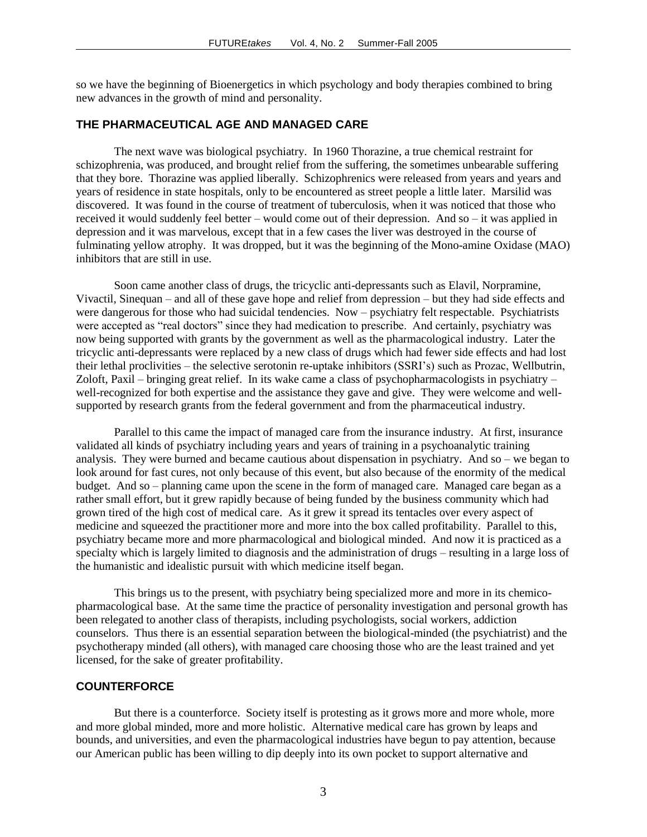so we have the beginning of Bioenergetics in which psychology and body therapies combined to bring new advances in the growth of mind and personality.

#### **THE PHARMACEUTICAL AGE AND MANAGED CARE**

The next wave was biological psychiatry. In 1960 Thorazine, a true chemical restraint for schizophrenia, was produced, and brought relief from the suffering, the sometimes unbearable suffering that they bore. Thorazine was applied liberally. Schizophrenics were released from years and years and years of residence in state hospitals, only to be encountered as street people a little later. Marsilid was discovered. It was found in the course of treatment of tuberculosis, when it was noticed that those who received it would suddenly feel better – would come out of their depression. And so – it was applied in depression and it was marvelous, except that in a few cases the liver was destroyed in the course of fulminating yellow atrophy. It was dropped, but it was the beginning of the Mono-amine Oxidase (MAO) inhibitors that are still in use.

Soon came another class of drugs, the tricyclic anti-depressants such as Elavil, Norpramine, Vivactil, Sinequan – and all of these gave hope and relief from depression – but they had side effects and were dangerous for those who had suicidal tendencies. Now – psychiatry felt respectable. Psychiatrists were accepted as "real doctors" since they had medication to prescribe. And certainly, psychiatry was now being supported with grants by the government as well as the pharmacological industry. Later the tricyclic anti-depressants were replaced by a new class of drugs which had fewer side effects and had lost their lethal proclivities – the selective serotonin re-uptake inhibitors (SSRI's) such as Prozac, Wellbutrin, Zoloft, Paxil – bringing great relief. In its wake came a class of psychopharmacologists in psychiatry – well-recognized for both expertise and the assistance they gave and give. They were welcome and wellsupported by research grants from the federal government and from the pharmaceutical industry.

Parallel to this came the impact of managed care from the insurance industry. At first, insurance validated all kinds of psychiatry including years and years of training in a psychoanalytic training analysis. They were burned and became cautious about dispensation in psychiatry. And so – we began to look around for fast cures, not only because of this event, but also because of the enormity of the medical budget. And so – planning came upon the scene in the form of managed care. Managed care began as a rather small effort, but it grew rapidly because of being funded by the business community which had grown tired of the high cost of medical care. As it grew it spread its tentacles over every aspect of medicine and squeezed the practitioner more and more into the box called profitability. Parallel to this, psychiatry became more and more pharmacological and biological minded. And now it is practiced as a specialty which is largely limited to diagnosis and the administration of drugs – resulting in a large loss of the humanistic and idealistic pursuit with which medicine itself began.

This brings us to the present, with psychiatry being specialized more and more in its chemicopharmacological base. At the same time the practice of personality investigation and personal growth has been relegated to another class of therapists, including psychologists, social workers, addiction counselors. Thus there is an essential separation between the biological-minded (the psychiatrist) and the psychotherapy minded (all others), with managed care choosing those who are the least trained and yet licensed, for the sake of greater profitability.

## **COUNTERFORCE**

But there is a counterforce. Society itself is protesting as it grows more and more whole, more and more global minded, more and more holistic. Alternative medical care has grown by leaps and bounds, and universities, and even the pharmacological industries have begun to pay attention, because our American public has been willing to dip deeply into its own pocket to support alternative and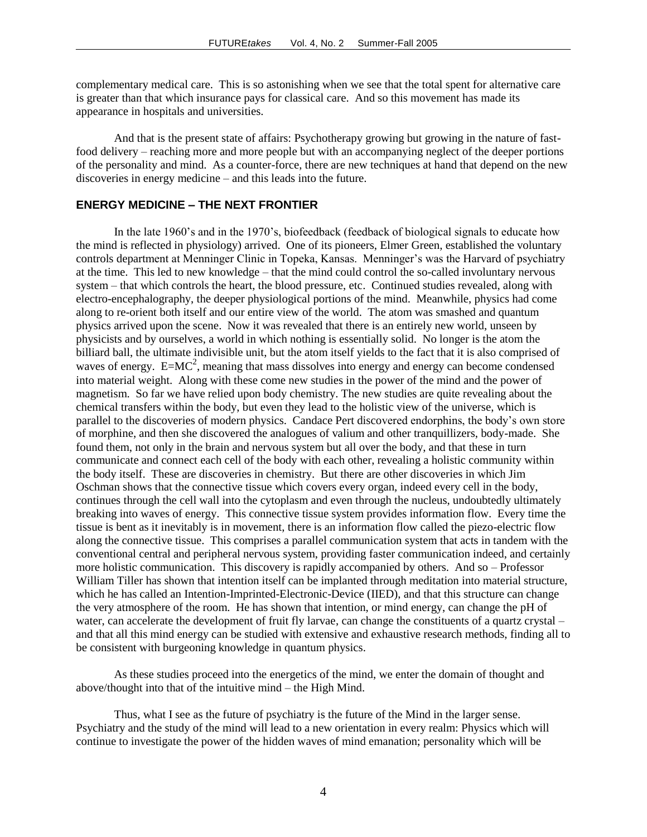complementary medical care. This is so astonishing when we see that the total spent for alternative care is greater than that which insurance pays for classical care. And so this movement has made its appearance in hospitals and universities.

And that is the present state of affairs: Psychotherapy growing but growing in the nature of fastfood delivery – reaching more and more people but with an accompanying neglect of the deeper portions of the personality and mind. As a counter-force, there are new techniques at hand that depend on the new discoveries in energy medicine – and this leads into the future.

# **ENERGY MEDICINE – THE NEXT FRONTIER**

In the late 1960's and in the 1970's, biofeedback (feedback of biological signals to educate how the mind is reflected in physiology) arrived. One of its pioneers, Elmer Green, established the voluntary controls department at Menninger Clinic in Topeka, Kansas. Menninger's was the Harvard of psychiatry at the time. This led to new knowledge – that the mind could control the so-called involuntary nervous system – that which controls the heart, the blood pressure, etc. Continued studies revealed, along with electro-encephalography, the deeper physiological portions of the mind. Meanwhile, physics had come along to re-orient both itself and our entire view of the world. The atom was smashed and quantum physics arrived upon the scene. Now it was revealed that there is an entirely new world, unseen by physicists and by ourselves, a world in which nothing is essentially solid. No longer is the atom the billiard ball, the ultimate indivisible unit, but the atom itself yields to the fact that it is also comprised of waves of energy.  $E=MC^2$ , meaning that mass dissolves into energy and energy can become condensed into material weight. Along with these come new studies in the power of the mind and the power of magnetism. So far we have relied upon body chemistry. The new studies are quite revealing about the chemical transfers within the body, but even they lead to the holistic view of the universe, which is parallel to the discoveries of modern physics. Candace Pert discovered endorphins, the body's own store of morphine, and then she discovered the analogues of valium and other tranquillizers, body-made. She found them, not only in the brain and nervous system but all over the body, and that these in turn communicate and connect each cell of the body with each other, revealing a holistic community within the body itself. These are discoveries in chemistry. But there are other discoveries in which Jim Oschman shows that the connective tissue which covers every organ, indeed every cell in the body, continues through the cell wall into the cytoplasm and even through the nucleus, undoubtedly ultimately breaking into waves of energy. This connective tissue system provides information flow. Every time the tissue is bent as it inevitably is in movement, there is an information flow called the piezo-electric flow along the connective tissue. This comprises a parallel communication system that acts in tandem with the conventional central and peripheral nervous system, providing faster communication indeed, and certainly more holistic communication. This discovery is rapidly accompanied by others. And so – Professor William Tiller has shown that intention itself can be implanted through meditation into material structure, which he has called an Intention-Imprinted-Electronic-Device (IIED), and that this structure can change the very atmosphere of the room. He has shown that intention, or mind energy, can change the pH of water, can accelerate the development of fruit fly larvae, can change the constituents of a quartz crystal – and that all this mind energy can be studied with extensive and exhaustive research methods, finding all to be consistent with burgeoning knowledge in quantum physics.

As these studies proceed into the energetics of the mind, we enter the domain of thought and above/thought into that of the intuitive mind – the High Mind.

Thus, what I see as the future of psychiatry is the future of the Mind in the larger sense. Psychiatry and the study of the mind will lead to a new orientation in every realm: Physics which will continue to investigate the power of the hidden waves of mind emanation; personality which will be